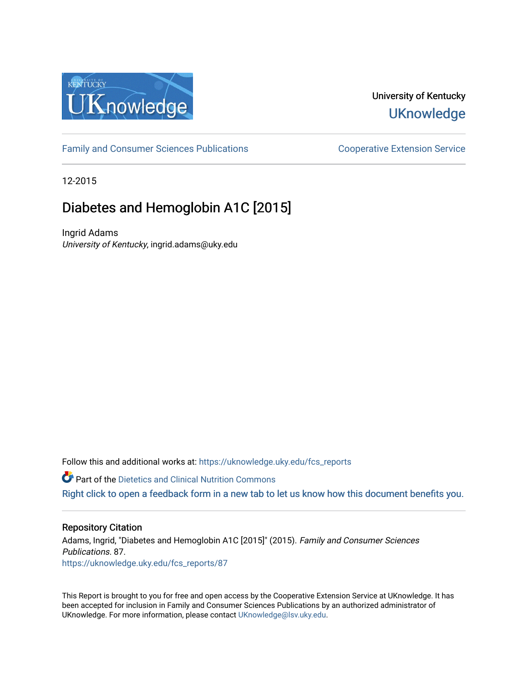

# University of Kentucky **UKnowledge**

[Family and Consumer Sciences Publications](https://uknowledge.uky.edu/fcs_reports) **Consumer Science Extension Service** Cooperative Extension Service

12-2015

# Diabetes and Hemoglobin A1C [2015]

Ingrid Adams University of Kentucky, ingrid.adams@uky.edu

Follow this and additional works at: https://uknowledge.uky.edu/fcs\_reports

**Part of the Dietetics and Clinical Nutrition Commons** 

[Right click to open a feedback form in a new tab to let us know how this document benefits you.](https://uky.az1.qualtrics.com/jfe/form/SV_9mq8fx2GnONRfz7)

#### Repository Citation

Adams, Ingrid, "Diabetes and Hemoglobin A1C [2015]" (2015). Family and Consumer Sciences Publications. 87. [https://uknowledge.uky.edu/fcs\\_reports/87](https://uknowledge.uky.edu/fcs_reports/87?utm_source=uknowledge.uky.edu%2Ffcs_reports%2F87&utm_medium=PDF&utm_campaign=PDFCoverPages)

This Report is brought to you for free and open access by the Cooperative Extension Service at UKnowledge. It has been accepted for inclusion in Family and Consumer Sciences Publications by an authorized administrator of UKnowledge. For more information, please contact [UKnowledge@lsv.uky.edu](mailto:UKnowledge@lsv.uky.edu).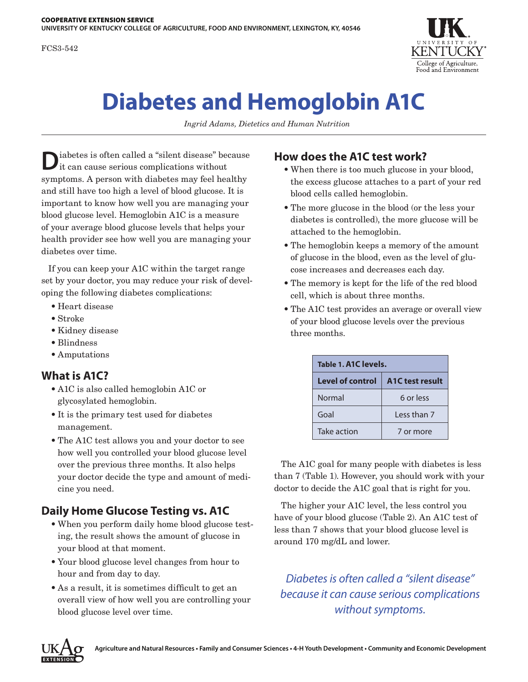FCS3-542



# **Diabetes and Hemoglobin A1C**

*Ingrid Adams, Dietetics and Human Nutrition*

**D**iabetes is often called a "silent disease" because it can cause serious complications without symptoms. A person with diabetes may feel healthy and still have too high a level of blood glucose. It is important to know how well you are managing your blood glucose level. Hemoglobin A1C is a measure of your average blood glucose levels that helps your health provider see how well you are managing your diabetes over time.

If you can keep your A1C within the target range set by your doctor, you may reduce your risk of developing the following diabetes complications:

- Heart disease
- Stroke
- Kidney disease
- Blindness
- Amputations

#### **What is A1C?**

- A1C is also called hemoglobin A1C or glycosylated hemoglobin.
- It is the primary test used for diabetes management.
- The A1C test allows you and your doctor to see how well you controlled your blood glucose level over the previous three months. It also helps your doctor decide the type and amount of medicine you need.

#### **Daily Home Glucose Testing vs. A1C**

- When you perform daily home blood glucose testing, the result shows the amount of glucose in your blood at that moment.
- Your blood glucose level changes from hour to hour and from day to day.
- As a result, it is sometimes difficult to get an overall view of how well you are controlling your blood glucose level over time.

### **How does the A1C test work?**

- When there is too much glucose in your blood, the excess glucose attaches to a part of your red blood cells called hemoglobin.
- The more glucose in the blood (or the less your diabetes is controlled), the more glucose will be attached to the hemoglobin.
- The hemoglobin keeps a memory of the amount of glucose in the blood, even as the level of glucose increases and decreases each day.
- The memory is kept for the life of the red blood cell, which is about three months.
- The A1C test provides an average or overall view of your blood glucose levels over the previous three months.

| Table 1. A1C levels.    |                              |
|-------------------------|------------------------------|
| <b>Level of control</b> | A <sub>1</sub> C test result |
| Normal                  | 6 or less                    |
| Goal                    | Less than 7                  |
| Take action             | 7 or more                    |

The A1C goal for many people with diabetes is less than 7 (Table 1). However, you should work with your doctor to decide the A1C goal that is right for you.

The higher your A1C level, the less control you have of your blood glucose (Table 2). An A1C test of less than 7 shows that your blood glucose level is around 170 mg/dL and lower.

## *Diabetes is often called a "silent disease" because it can cause serious complications without symptoms.*